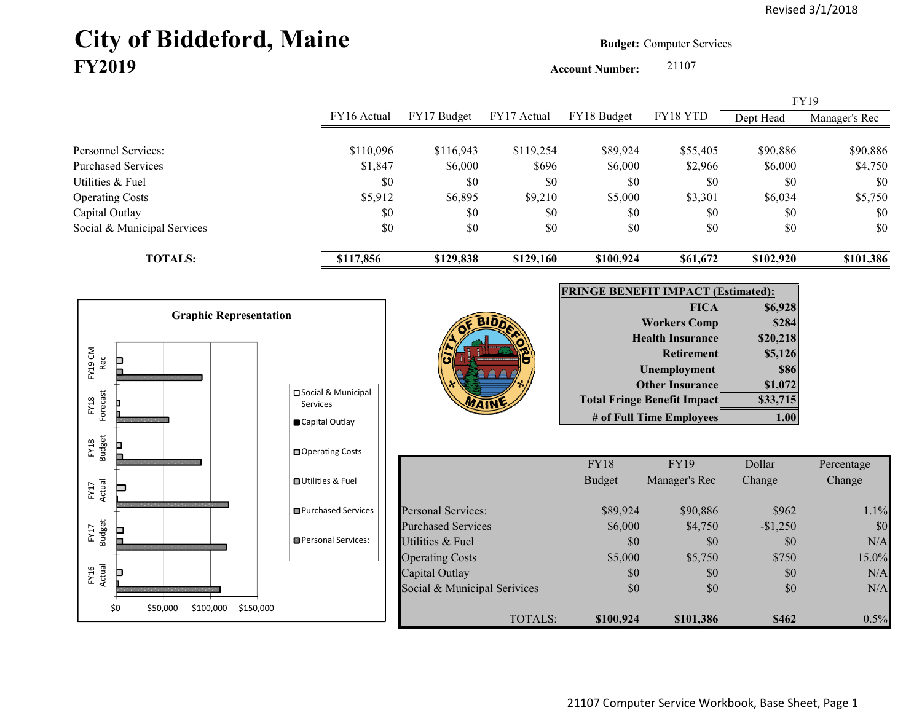# **City of Biddeford, Maine Budget:** Computer Services **FY2019**

**Account Number:** 21107

|                             | FY16 Actual | FY17 Budget | FY17 Actual | FY18 Budget | FY18 YTD |           | <b>FY19</b>   |
|-----------------------------|-------------|-------------|-------------|-------------|----------|-----------|---------------|
|                             |             |             |             |             |          | Dept Head | Manager's Rec |
| Personnel Services:         | \$110,096   | \$116,943   | \$119,254   | \$89,924    | \$55,405 | \$90,886  | \$90,886      |
| <b>Purchased Services</b>   | \$1,847     | \$6,000     | \$696       | \$6,000     | \$2,966  | \$6,000   | \$4,750       |
| Utilities & Fuel            | \$0         | \$0         | \$0         | \$0         | \$0      | \$0       | \$0           |
| <b>Operating Costs</b>      | \$5,912     | \$6,895     | \$9,210     | \$5,000     | \$3,301  | \$6,034   | \$5,750       |
| Capital Outlay              | \$0         | \$0         | \$0         | \$0         | \$0      | \$0       | \$0           |
| Social & Municipal Services | \$0         | \$0         | \$0         | \$0         | \$0      | \$0       | \$0           |
| <b>TOTALS:</b>              | \$117,856   | \$129,838   | \$129,160   | \$100,924   | \$61,672 | \$102.920 | \$101,386     |

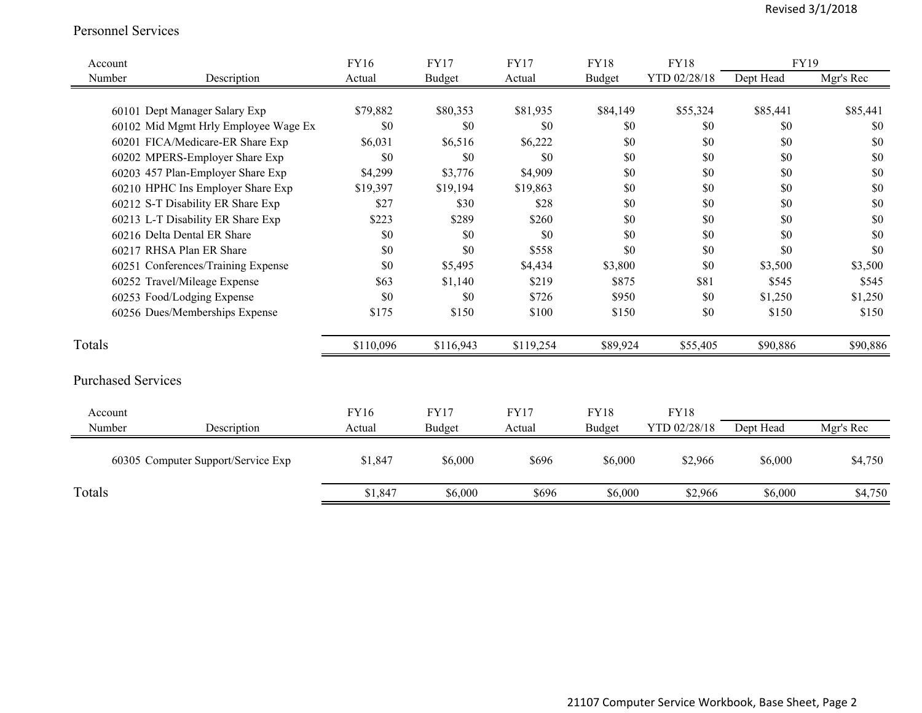#### Personnel Services

| Account                   |                                      | <b>FY16</b> | <b>FY17</b> | <b>FY17</b> | <b>FY18</b> | <b>FY18</b>  | <b>FY19</b> |           |
|---------------------------|--------------------------------------|-------------|-------------|-------------|-------------|--------------|-------------|-----------|
| Number                    | Description                          | Actual      | Budget      | Actual      | Budget      | YTD 02/28/18 | Dept Head   | Mgr's Rec |
|                           |                                      |             |             |             |             |              |             |           |
|                           | 60101 Dept Manager Salary Exp        | \$79,882    | \$80,353    | \$81,935    | \$84,149    | \$55,324     | \$85,441    | \$85,441  |
|                           | 60102 Mid Mgmt Hrly Employee Wage Ex | \$0         | \$0         | \$0         | \$0         | \$0          | \$0         | \$0       |
|                           | 60201 FICA/Medicare-ER Share Exp     | \$6,031     | \$6,516     | \$6,222     | \$0         | \$0          | \$0         | \$0       |
|                           | 60202 MPERS-Employer Share Exp       | \$0         | \$0         | \$0         | \$0         | \$0          | \$0         | \$0       |
|                           | 60203 457 Plan-Employer Share Exp    | \$4,299     | \$3,776     | \$4,909     | \$0         | $\$0$        | \$0         | \$0       |
|                           | 60210 HPHC Ins Employer Share Exp    | \$19,397    | \$19,194    | \$19,863    | \$0         | \$0          | \$0         | \$0       |
|                           | 60212 S-T Disability ER Share Exp    | \$27        | \$30        | \$28        | \$0         | \$0          | \$0         | \$0       |
|                           | 60213 L-T Disability ER Share Exp    | \$223       | \$289       | \$260       | \$0         | \$0          | \$0         | \$0       |
|                           | 60216 Delta Dental ER Share          | \$0         | \$0         | \$0         | \$0         | \$0          | \$0         | \$0       |
|                           | 60217 RHSA Plan ER Share             | \$0         | \$0         | \$558       | \$0         | $\$0$        | \$0         | \$0       |
|                           | 60251 Conferences/Training Expense   | \$0         | \$5,495     | \$4,434     | \$3,800     | \$0          | \$3,500     | \$3,500   |
|                           | 60252 Travel/Mileage Expense         | \$63        | \$1,140     | \$219       | \$875       | \$81         | \$545       | \$545     |
|                           | 60253 Food/Lodging Expense           | \$0         | \$0         | \$726       | \$950       | \$0          | \$1,250     | \$1,250   |
|                           | 60256 Dues/Memberships Expense       | \$175       | \$150       | \$100       | \$150       | \$0          | \$150       | \$150     |
| Totals                    |                                      | \$110,096   | \$116,943   | \$119,254   | \$89,924    | \$55,405     | \$90,886    | \$90,886  |
| <b>Purchased Services</b> |                                      |             |             |             |             |              |             |           |
| Account                   |                                      | <b>FY16</b> | <b>FY17</b> | <b>FY17</b> | <b>FY18</b> | <b>FY18</b>  |             |           |
| Number                    | Description                          | Actual      | Budget      | Actual      | Budget      | YTD 02/28/18 | Dept Head   | Mgr's Rec |
|                           | 60305 Computer Support/Service Exp   | \$1,847     | \$6,000     | \$696       | \$6,000     | \$2,966      | \$6,000     | \$4,750   |
| Totals                    |                                      | \$1,847     | \$6,000     | \$696       | \$6,000     | \$2,966      | \$6,000     | \$4,750   |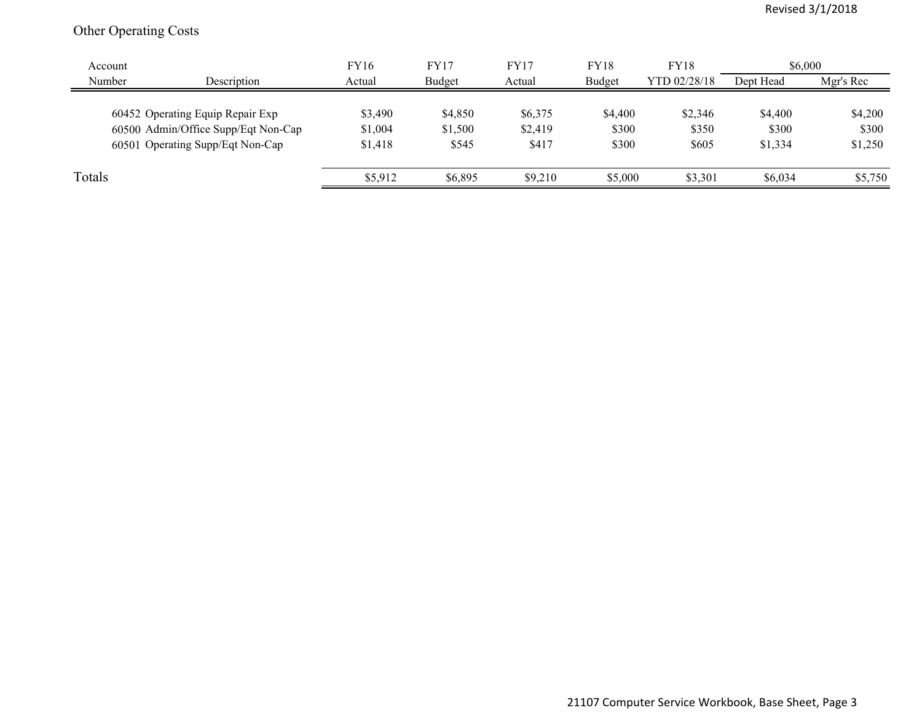# Other Operating Costs

| Account |                                     | <b>FY16</b> | FY17    | FY17    | <b>FY18</b> | <b>FY18</b>  | \$6,000   |           |
|---------|-------------------------------------|-------------|---------|---------|-------------|--------------|-----------|-----------|
| Number  | Description                         | Actual      | Budget  | Actual  | Budget      | YTD 02/28/18 | Dept Head | Mgr's Rec |
|         | 60452 Operating Equip Repair Exp    | \$3,490     | \$4,850 | \$6,375 | \$4,400     | \$2,346      | \$4,400   | \$4,200   |
|         | 60500 Admin/Office Supp/Eqt Non-Cap | \$1,004     | \$1,500 | \$2,419 | \$300       | \$350        | \$300     | \$300     |
|         | 60501 Operating Supp/Eqt Non-Cap    | \$1,418     | \$545   | \$417   | \$300       | \$605        | \$1,334   | \$1,250   |
|         |                                     |             |         |         |             |              |           |           |
| Totals  |                                     | \$5,912     | \$6,895 | \$9,210 | \$5,000     | \$3,301      | \$6,034   | \$5,750   |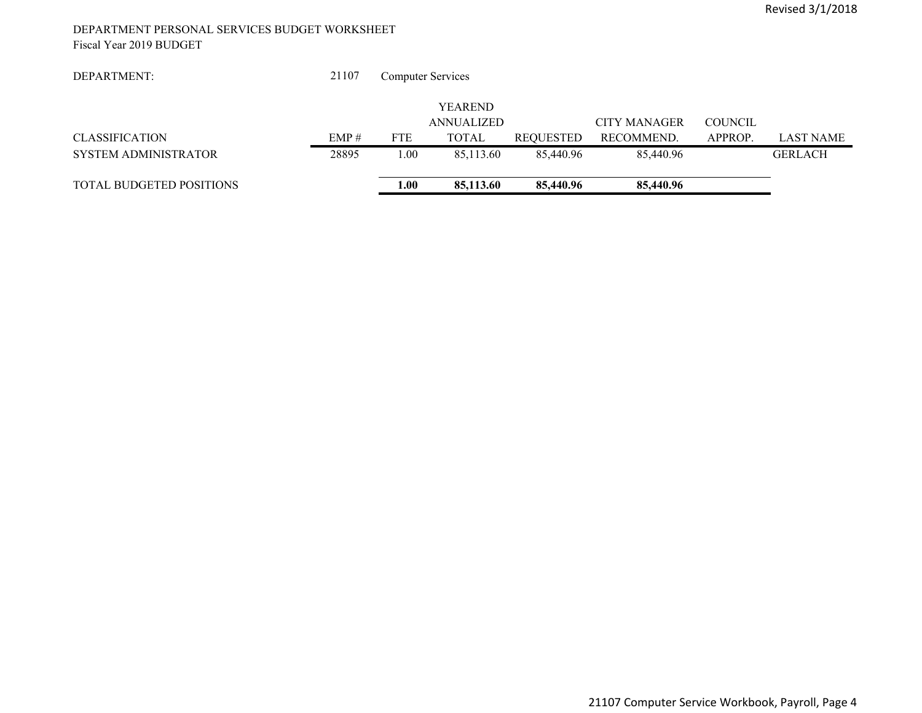#### DEPARTMENT PERSONAL SERVICES BUDGET WORKSHEET Fiscal Year 2019 BUDGET

| DEPARTMENT:                     | 21107 | <b>Computer Services</b> |                   |                  |                     |                |                  |
|---------------------------------|-------|--------------------------|-------------------|------------------|---------------------|----------------|------------------|
|                                 |       |                          | <b>YEAREND</b>    |                  |                     |                |                  |
|                                 |       |                          | <b>ANNUALIZED</b> |                  | <b>CITY MANAGER</b> | <b>COUNCIL</b> |                  |
| <b>CLASSIFICATION</b>           | EMP#  | <b>FTE</b>               | <b>TOTAL</b>      | <b>REQUESTED</b> | RECOMMEND.          | APPROP.        | <b>LAST NAME</b> |
| <b>SYSTEM ADMINISTRATOR</b>     | 28895 | .00.                     | 85,113.60         | 85,440.96        | 85,440.96           |                | <b>GERLACH</b>   |
| <b>TOTAL BUDGETED POSITIONS</b> |       | 1.00                     | 85,113.60         | 85,440.96        | 85,440.96           |                |                  |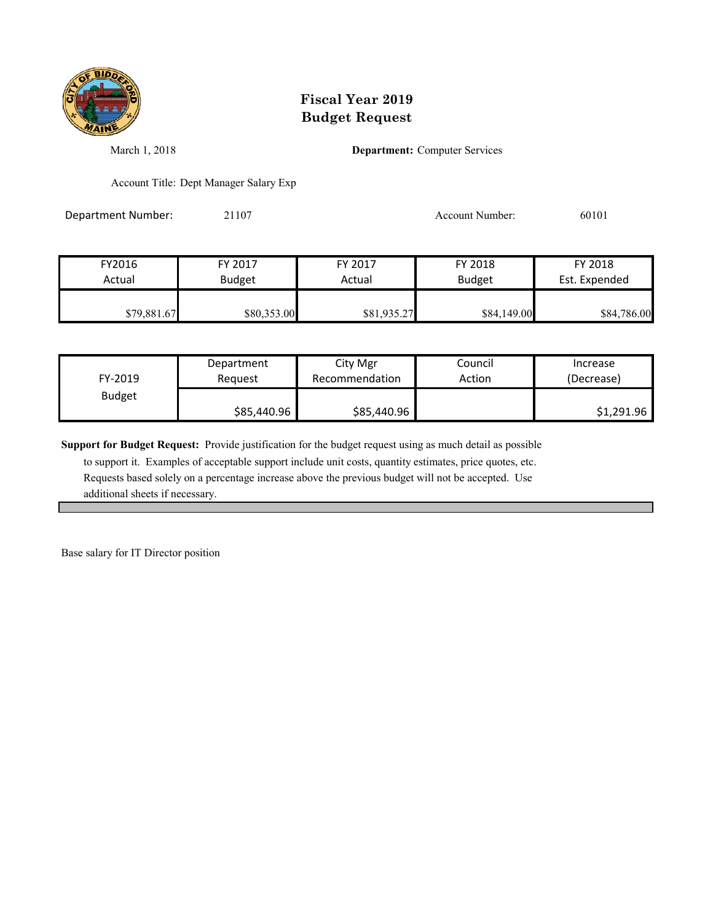

March 1, 2018 **Department:** Computer Services

Account Title: Dept Manager Salary Exp

Department Number: 21107 20101 20101 Account Number: 60101

| FY2016      | FY 2017       | FY 2017     | FY 2018       | FY 2018       |
|-------------|---------------|-------------|---------------|---------------|
| Actual      | <b>Budget</b> | Actual      | <b>Budget</b> | Est. Expended |
|             |               |             |               |               |
| \$79,881.67 | \$80,353.00   | \$81,935.27 | \$84,149.00   | \$84,786.00   |

| FY-2019       | Department  | City Mgr       | Council | Increase   |
|---------------|-------------|----------------|---------|------------|
|               | Reauest     | Recommendation | Action  | (Decrease) |
| <b>Budget</b> | \$85,440.96 | \$85,440.96    |         | \$1,291.96 |

**Support for Budget Request:** Provide justification for the budget request using as much detail as possible

 to support it. Examples of acceptable support include unit costs, quantity estimates, price quotes, etc. Requests based solely on a percentage increase above the previous budget will not be accepted. Use additional sheets if necessary.

Base salary for IT Director position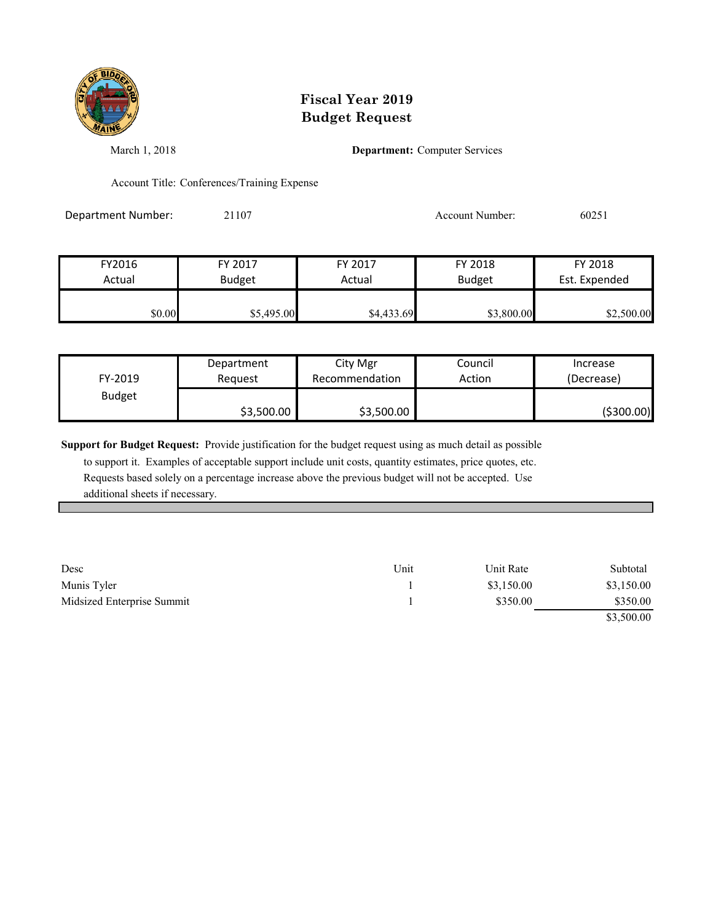

March 1, 2018 **Department:** Computer Services

Account Title: Conferences/Training Expense

Department Number: 21107 20251

| FY2016 | FY 2017       | FY 2017    | FY 2018       | FY 2018       |
|--------|---------------|------------|---------------|---------------|
| Actual | <b>Budget</b> | Actual     | <b>Budget</b> | Est. Expended |
| \$0.00 | \$5,495.00    | \$4,433.69 | \$3,800.00    | \$2,500.00    |

| FY-2019       | Department | City Mgr       | Council | Increase   |
|---------------|------------|----------------|---------|------------|
|               | Reauest    | Recommendation | Action  | (Decrease) |
| <b>Budget</b> | \$3,500.00 | \$3,500.00     |         | (\$300.00) |

**Support for Budget Request:** Provide justification for the budget request using as much detail as possible

 to support it. Examples of acceptable support include unit costs, quantity estimates, price quotes, etc. Requests based solely on a percentage increase above the previous budget will not be accepted. Use additional sheets if necessary.

| Desc                       | Unit | Unit Rate  | Subtotal   |
|----------------------------|------|------------|------------|
| Munis Tyler                |      | \$3,150.00 | \$3,150.00 |
| Midsized Enterprise Summit |      | \$350.00   | \$350.00   |
|                            |      |            | \$3,500.00 |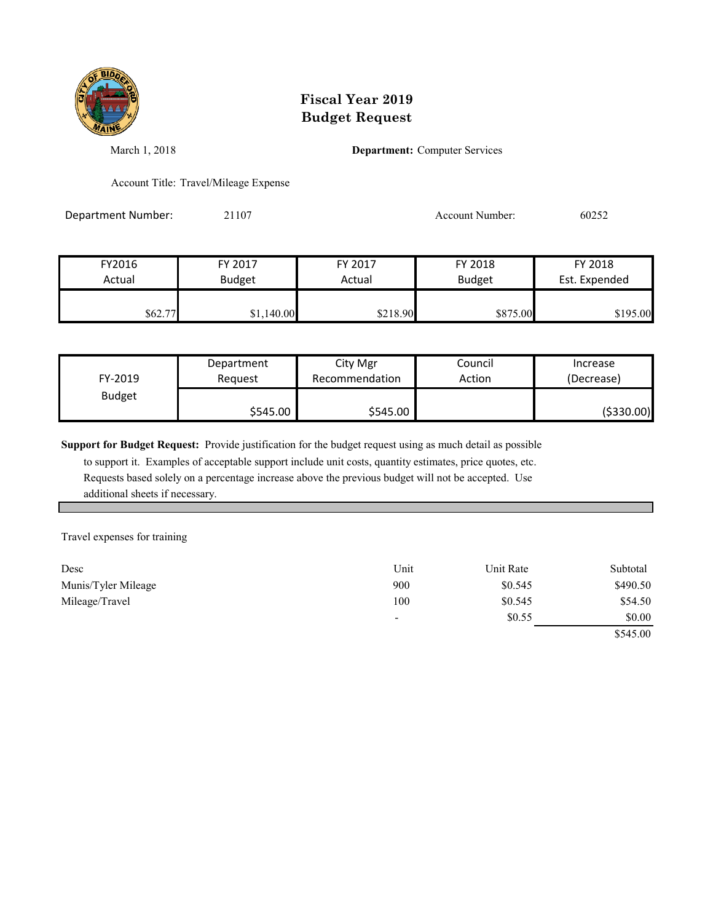

March 1, 2018 **Department:** Computer Services

Account Title: Travel/Mileage Expense

Department Number: 21107 200252

| FY2016  | FY 2017       | FY 2017  | FY 2018       | FY 2018       |
|---------|---------------|----------|---------------|---------------|
| Actual  | <b>Budget</b> | Actual   | <b>Budget</b> | Est. Expended |
| \$62.77 | \$1,140.00    | \$218.90 | \$875.00      | \$195.00      |

| FY-2019       | Department | City Mgr       | Council | Increase   |
|---------------|------------|----------------|---------|------------|
|               | Reauest    | Recommendation | Action  | (Decrease) |
| <b>Budget</b> | \$545.00   | \$545.00       |         | (\$330.00) |

**Support for Budget Request:** Provide justification for the budget request using as much detail as possible

 to support it. Examples of acceptable support include unit costs, quantity estimates, price quotes, etc. Requests based solely on a percentage increase above the previous budget will not be accepted. Use additional sheets if necessary.

Travel expenses for training

| Desc                | Unit                     | Unit Rate | Subtotal |
|---------------------|--------------------------|-----------|----------|
| Munis/Tyler Mileage | 900                      | \$0.545   | \$490.50 |
| Mileage/Travel      | 100                      | \$0.545   | \$54.50  |
|                     | $\overline{\phantom{a}}$ | \$0.55    | \$0.00   |

\$545.00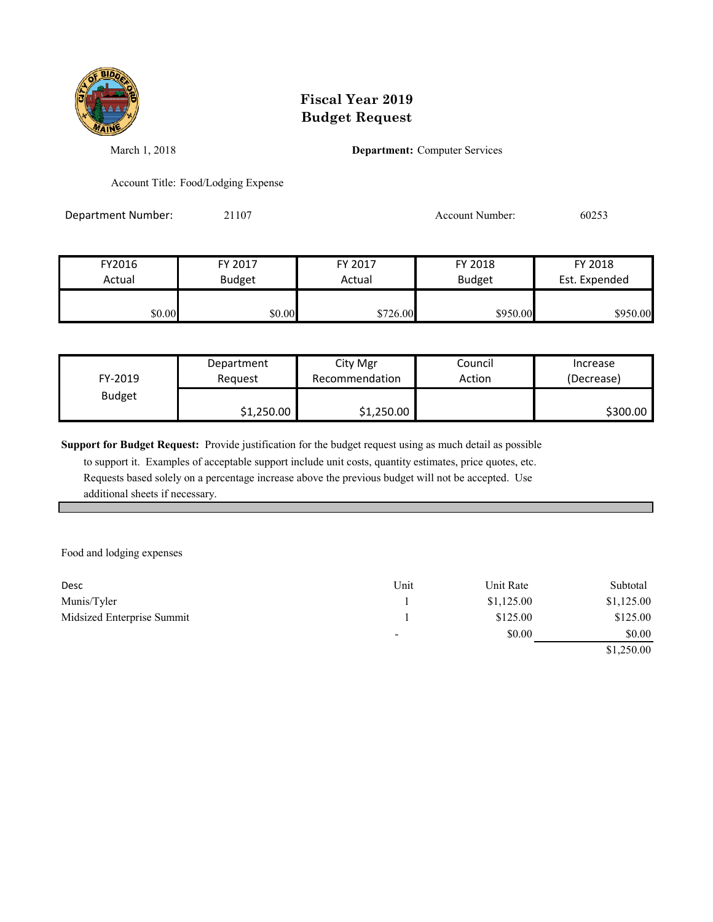

March 1, 2018 **Department:** Computer Services

Account Title: Food/Lodging Expense

Department Number: 21107 20253

| FY2016 | FY 2017       | FY 2017  | FY 2018       | FY 2018       |
|--------|---------------|----------|---------------|---------------|
| Actual | <b>Budget</b> | Actual   | <b>Budget</b> | Est. Expended |
| \$0.00 | \$0.00        | \$726.00 | \$950.00      | \$950.00      |

| FY-2019       | Department | City Mgr       | Council | Increase   |
|---------------|------------|----------------|---------|------------|
|               | Reauest    | Recommendation | Action  | (Decrease) |
| <b>Budget</b> | \$1,250.00 | \$1,250.00     |         | \$300.00   |

**Support for Budget Request:** Provide justification for the budget request using as much detail as possible

 to support it. Examples of acceptable support include unit costs, quantity estimates, price quotes, etc. Requests based solely on a percentage increase above the previous budget will not be accepted. Use additional sheets if necessary.

Food and lodging expenses

| Desc                       | Unit                     | Unit Rate  | Subtotal   |
|----------------------------|--------------------------|------------|------------|
| Munis/Tyler                |                          | \$1,125.00 | \$1,125.00 |
| Midsized Enterprise Summit |                          | \$125.00   | \$125.00   |
|                            | $\overline{\phantom{a}}$ | \$0.00     | \$0.00     |
|                            |                          |            | \$1,250.00 |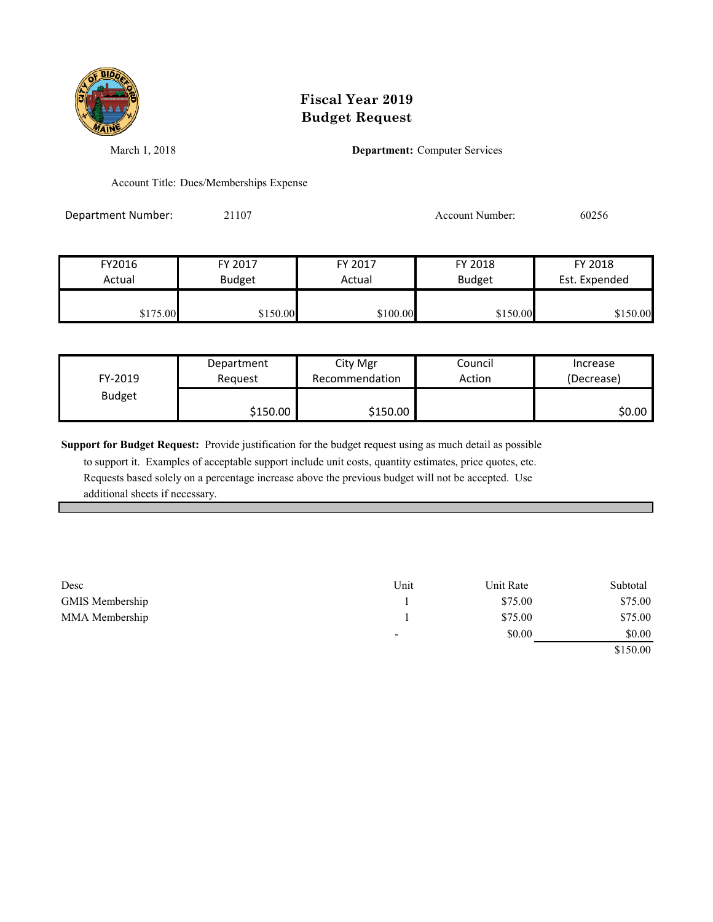

March 1, 2018 **Department:** Computer Services

Account Title: Dues/Memberships Expense

Department Number: 21107 Account Number: 60256

FY2016 FY 2017 FY 2017 FY 2018 FY 2018 Actual Budget **Actual Budget** Actual Budget Est. Expended \$175.00 \$150.00 \$150.00 \$100.00 \$150.00 \$150.00

| FY-2019       | Department | City Mgr       | Council | Increase   |
|---------------|------------|----------------|---------|------------|
|               | Reauest    | Recommendation | Action  | (Decrease) |
| <b>Budget</b> | \$150.00   | \$150.00       |         | \$0.00∣    |

**Support for Budget Request:** Provide justification for the budget request using as much detail as possible

 to support it. Examples of acceptable support include unit costs, quantity estimates, price quotes, etc. Requests based solely on a percentage increase above the previous budget will not be accepted. Use additional sheets if necessary.

| Desc            | Unit                     | Unit Rate | Subtotal |
|-----------------|--------------------------|-----------|----------|
| GMIS Membership |                          | \$75.00   | \$75.00  |
| MMA Membership  |                          | \$75.00   | \$75.00  |
|                 | $\overline{\phantom{a}}$ | \$0.00    | \$0.00   |

\$150.00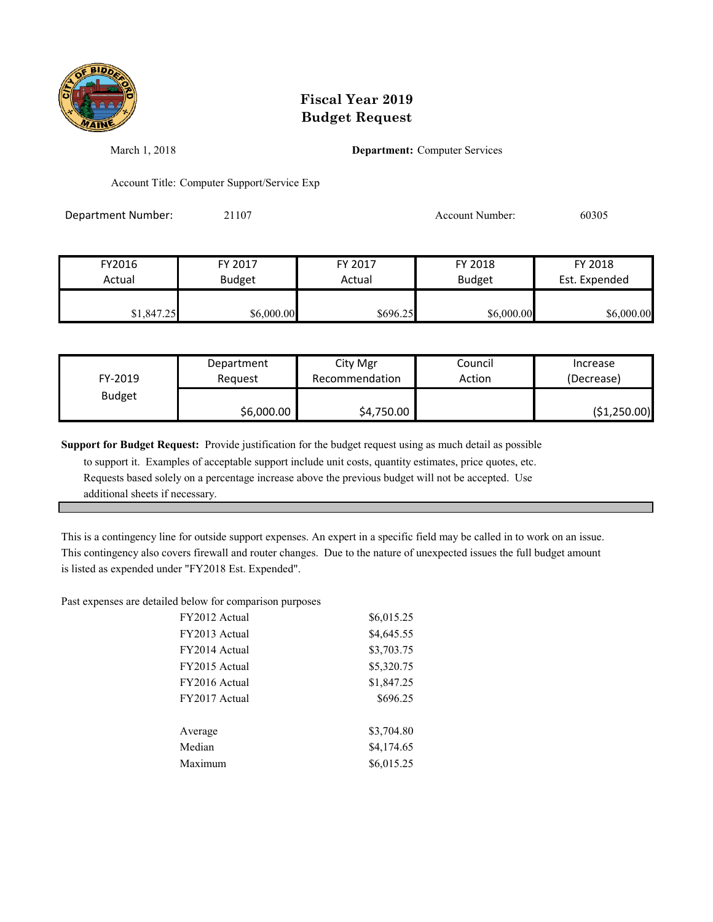

March 1, 2018 **Department:** Computer Services

Account Title: Computer Support/Service Exp

Department Number: 21107 Account Number: 60305

| FY2016     | FY 2017       | FY 2017  | FY 2018       | FY 2018       |
|------------|---------------|----------|---------------|---------------|
| Actual     | <b>Budget</b> | Actual   | <b>Budget</b> | Est. Expended |
| \$1,847.25 | \$6,000.00    | \$696.25 | \$6,000.00    | \$6,000.00    |

| FY-2019       | Department | City Mgr       | Council | Increase     |
|---------------|------------|----------------|---------|--------------|
|               | Reauest    | Recommendation | Action  | (Decrease)   |
| <b>Budget</b> | \$6,000.00 | \$4,750.00     |         | (\$1,250.00) |

**Support for Budget Request:** Provide justification for the budget request using as much detail as possible

 to support it. Examples of acceptable support include unit costs, quantity estimates, price quotes, etc. Requests based solely on a percentage increase above the previous budget will not be accepted. Use additional sheets if necessary.

This is a contingency line for outside support expenses. An expert in a specific field may be called in to work on an issue. This contingency also covers firewall and router changes. Due to the nature of unexpected issues the full budget amount is listed as expended under "FY2018 Est. Expended".

Past expenses are detailed below for comparison purposes

| FY2012 Actual | \$6,015.25 |
|---------------|------------|
| FY2013 Actual | \$4,645.55 |
| FY2014 Actual | \$3,703.75 |
| FY2015 Actual | \$5,320.75 |
| FY2016 Actual | \$1,847.25 |
| FY2017 Actual | \$696.25   |
|               |            |
| Average       | \$3,704.80 |
| Median        | \$4,174.65 |
| Maximum       | \$6,015.25 |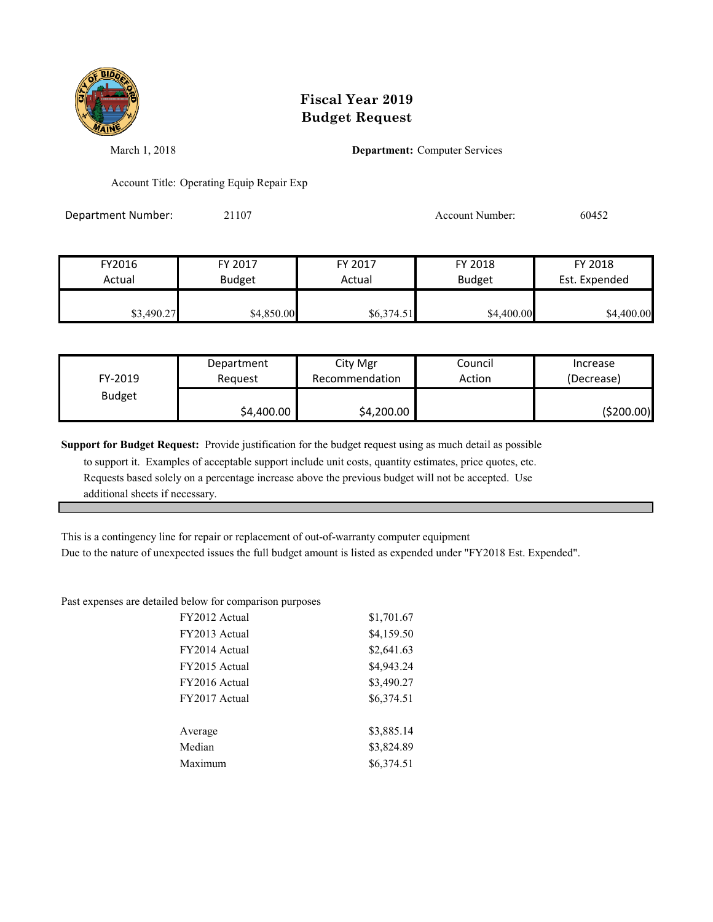

March 1, 2018 **Department:** Computer Services

Account Title: Operating Equip Repair Exp

Department Number: 21107 2010 2010 Account Number: 60452

| FY2016     | FY 2017       | FY 2017    | FY 2018       | FY 2018       |
|------------|---------------|------------|---------------|---------------|
| Actual     | <b>Budget</b> | Actual     | <b>Budget</b> | Est. Expended |
| \$3,490.27 | \$4,850.00    | \$6,374.51 | \$4,400.00    | \$4,400.00    |

| FY-2019       | Department | City Mgr       | Council | Increase   |
|---------------|------------|----------------|---------|------------|
|               | Reauest    | Recommendation | Action  | (Decrease) |
| <b>Budget</b> | \$4,400.00 | \$4,200.00     |         | (\$200.00) |

**Support for Budget Request:** Provide justification for the budget request using as much detail as possible

 to support it. Examples of acceptable support include unit costs, quantity estimates, price quotes, etc. Requests based solely on a percentage increase above the previous budget will not be accepted. Use additional sheets if necessary.

This is a contingency line for repair or replacement of out-of-warranty computer equipment

Due to the nature of unexpected issues the full budget amount is listed as expended under "FY2018 Est. Expended".

Past expenses are detailed below for comparison purposes

| FY2012 Actual | \$1,701.67 |
|---------------|------------|
| FY2013 Actual | \$4,159.50 |
| FY2014 Actual | \$2,641.63 |
| FY2015 Actual | \$4,943.24 |
| FY2016 Actual | \$3,490.27 |
| FY2017 Actual | \$6,374.51 |
|               |            |
| Average       | \$3,885.14 |
| Median        | \$3,824.89 |
| Maximum       | \$6,374.51 |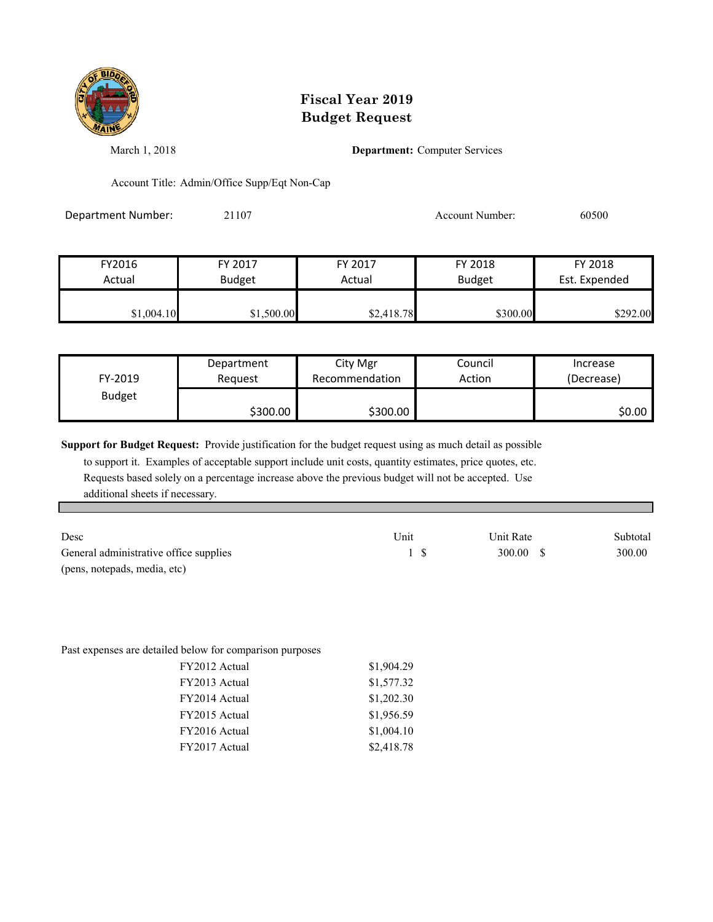

March 1, 2018 **Department:** Computer Services

Account Title: Admin/Office Supp/Eqt Non-Cap

Department Number: 21107 2010 2010 Account Number: 60500

| FY2016     | FY 2017       | FY 2017    | FY 2018       | FY 2018       |
|------------|---------------|------------|---------------|---------------|
| Actual     | <b>Budget</b> | Actual     | <b>Budget</b> | Est. Expended |
| \$1,004.10 | \$1,500.00    | \$2,418.78 | \$300.00      | \$292.00      |

| FY-2019       | Department | City Mgr       | Council | Increase   |
|---------------|------------|----------------|---------|------------|
|               | Request    | Recommendation | Action  | (Decrease) |
| <b>Budget</b> | \$300.00   | \$300.00       |         | \$0.00     |

**Support for Budget Request:** Provide justification for the budget request using as much detail as possible

 to support it. Examples of acceptable support include unit costs, quantity estimates, price quotes, etc. Requests based solely on a percentage increase above the previous budget will not be accepted. Use additional sheets if necessary.

| Desc                                   | Unit | Unit Rate | Subtotal |
|----------------------------------------|------|-----------|----------|
| General administrative office supplies |      | 300.00 S  | 300.00   |
| (pens, notepads, media, etc)           |      |           |          |

Past expenses are detailed below for comparison purposes